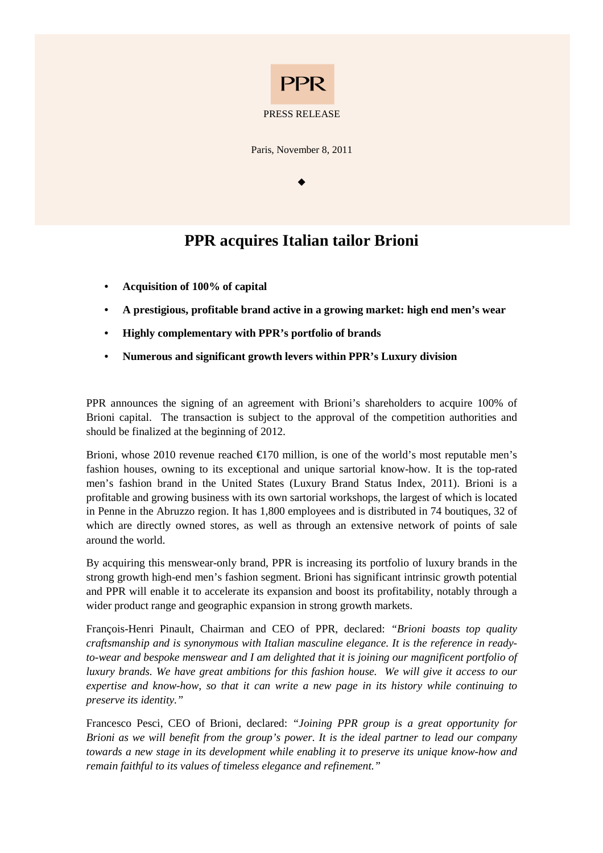

Paris, November 8, 2011

 $\bullet$ 

# **PPR acquires Italian tailor Brioni**

- **Acquisition of 100% of capital**
- **A prestigious, profitable brand active in a growing market: high end men's wear**
- **Highly complementary with PPR's portfolio of brands**
- **Numerous and significant growth levers within PPR's Luxury division**

PPR announces the signing of an agreement with Brioni's shareholders to acquire 100% of Brioni capital. The transaction is subject to the approval of the competition authorities and should be finalized at the beginning of 2012.

Brioni, whose 2010 revenue reached  $\epsilon$ 170 million, is one of the world's most reputable men's fashion houses, owning to its exceptional and unique sartorial know-how. It is the top-rated men's fashion brand in the United States (Luxury Brand Status Index, 2011). Brioni is a profitable and growing business with its own sartorial workshops, the largest of which is located in Penne in the Abruzzo region. It has 1,800 employees and is distributed in 74 boutiques, 32 of which are directly owned stores, as well as through an extensive network of points of sale around the world.

By acquiring this menswear-only brand, PPR is increasing its portfolio of luxury brands in the strong growth high-end men's fashion segment. Brioni has significant intrinsic growth potential and PPR will enable it to accelerate its expansion and boost its profitability, notably through a wider product range and geographic expansion in strong growth markets.

François-Henri Pinault, Chairman and CEO of PPR, declared: *"Brioni boasts top quality craftsmanship and is synonymous with Italian masculine elegance. It is the reference in readyto-wear and bespoke menswear and I am delighted that it is joining our magnificent portfolio of luxury brands. We have great ambitions for this fashion house. We will give it access to our expertise and know-how, so that it can write a new page in its history while continuing to preserve its identity."* 

Francesco Pesci, CEO of Brioni, declared: *"Joining PPR group is a great opportunity for Brioni as we will benefit from the group's power. It is the ideal partner to lead our company towards a new stage in its development while enabling it to preserve its unique know-how and remain faithful to its values of timeless elegance and refinement."*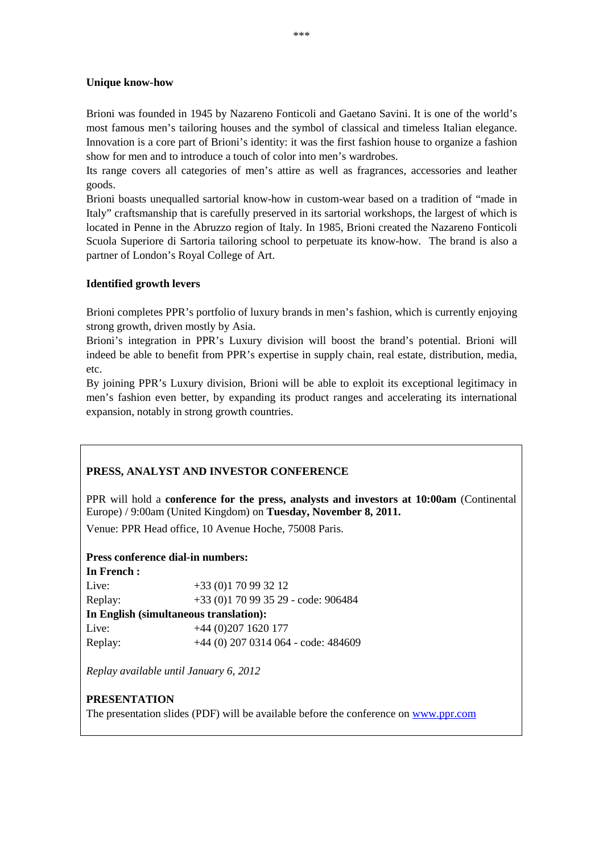### **Unique know-how**

Brioni was founded in 1945 by Nazareno Fonticoli and Gaetano Savini. It is one of the world's most famous men's tailoring houses and the symbol of classical and timeless Italian elegance. Innovation is a core part of Brioni's identity: it was the first fashion house to organize a fashion show for men and to introduce a touch of color into men's wardrobes.

Its range covers all categories of men's attire as well as fragrances, accessories and leather goods.

Brioni boasts unequalled sartorial know-how in custom-wear based on a tradition of "made in Italy" craftsmanship that is carefully preserved in its sartorial workshops, the largest of which is located in Penne in the Abruzzo region of Italy. In 1985, Brioni created the Nazareno Fonticoli Scuola Superiore di Sartoria tailoring school to perpetuate its know-how. The brand is also a partner of London's Royal College of Art.

### **Identified growth levers**

Brioni completes PPR's portfolio of luxury brands in men's fashion, which is currently enjoying strong growth, driven mostly by Asia.

Brioni's integration in PPR's Luxury division will boost the brand's potential. Brioni will indeed be able to benefit from PPR's expertise in supply chain, real estate, distribution, media, etc.

By joining PPR's Luxury division, Brioni will be able to exploit its exceptional legitimacy in men's fashion even better, by expanding its product ranges and accelerating its international expansion, notably in strong growth countries.

## **PRESS, ANALYST AND INVESTOR CONFERENCE**

PPR will hold a **conference for the press, analysts and investors at 10:00am** (Continental Europe) / 9:00am (United Kingdom) on **Tuesday, November 8, 2011.** 

Venue: PPR Head office, 10 Avenue Hoche, 75008 Paris.

#### **Press conference dial-in numbers: In French :**

| пи гтенен :                            |                                       |  |  |  |
|----------------------------------------|---------------------------------------|--|--|--|
| Live:                                  | $+33(0)170993212$                     |  |  |  |
| Replay:                                | +33 (0)1 70 99 35 29 - code: 906484   |  |  |  |
| In English (simultaneous translation): |                                       |  |  |  |
| Live:                                  | $+44(0)2071620177$                    |  |  |  |
| Replay:                                | $+44$ (0) 207 0314 064 - code: 484609 |  |  |  |

*Replay available until January 6, 2012* 

### **PRESENTATION**

The presentation slides (PDF) will be available before the conference on www.ppr.com